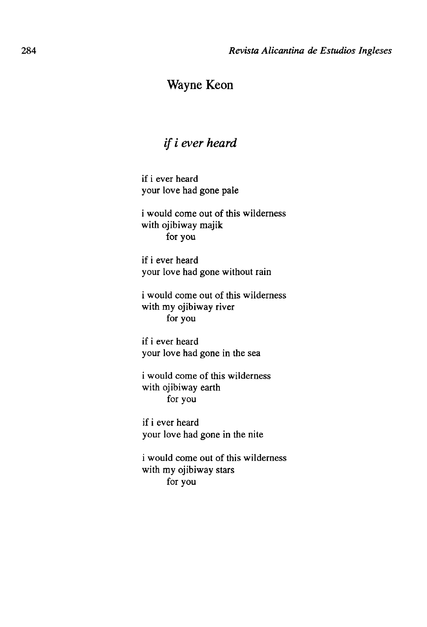## Wayne Keon

## *if i ever heard*

if i ever heard your love had gone palé

i would come out of this wilderness with ojibiway majik for you

if i ever heard your love had gone without rain

i would come out of this wilderness with my ojibiway river for you

if i ever heard your love had gone in the sea

i would come of this wilderness with ojibiway earth for you

if i ever heard your love had gone in the nite

i would come out of this wilderness with my ojibiway stars for you